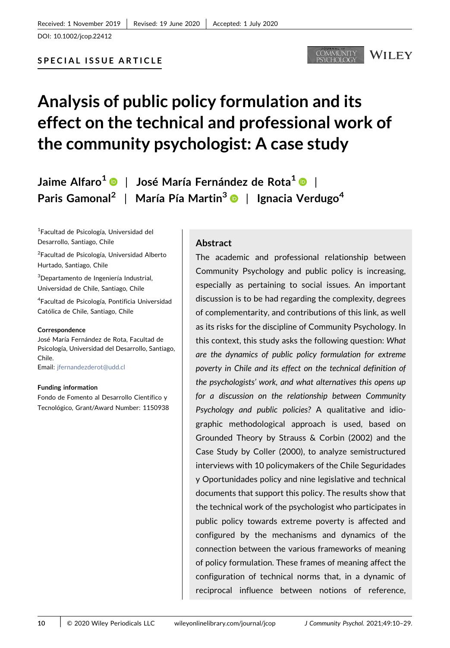DOI: 10.1002/jcop.22412

#### MMUNITY WILEY

# Analysis of public policy formulation and its effect on the technical and professional work of the community psychologist: A case study

Jaime Alfaro<sup>1</sup>  $\bullet$  | José María Fernández de Rota<sup>1</sup>  $\bullet$  | Paris Gamonal<sup>2</sup> | María Pía Martin<sup>3</sup> | Ignacia Verdugo<sup>4</sup>

1 Facultad de Psicología, Universidad del Desarrollo, Santiago, Chile

<sup>2</sup>Facultad de Psicología, Universidad Alberto Hurtado, Santiago, Chile

3 Departamento de Ingeniería Industrial, Universidad de Chile, Santiago, Chile

4 Facultad de Psicología, Pontificia Universidad Católica de Chile, Santiago, Chile

#### Correspondence

José María Fernández de Rota, Facultad de Psicología, Universidad del Desarrollo, Santiago, Chile. Email: [jfernandezderot@udd.cl](mailto:jfernandezderot@udd.cl)

Funding information

Fondo de Fomento al Desarrollo Científico y Tecnológico, Grant/Award Number: 1150938

## Abstract

The academic and professional relationship between Community Psychology and public policy is increasing, especially as pertaining to social issues. An important discussion is to be had regarding the complexity, degrees of complementarity, and contributions of this link, as well as its risks for the discipline of Community Psychology. In this context, this study asks the following question: What are the dynamics of public policy formulation for extreme poverty in Chile and its effect on the technical definition of the psychologists' work, and what alternatives this opens up for a discussion on the relationship between Community Psychology and public policies? A qualitative and idiographic methodological approach is used, based on Grounded Theory by Strauss & Corbin (2002) and the Case Study by Coller (2000), to analyze semistructured interviews with 10 policymakers of the Chile Seguridades y Oportunidades policy and nine legislative and technical documents that support this policy. The results show that the technical work of the psychologist who participates in public policy towards extreme poverty is affected and configured by the mechanisms and dynamics of the connection between the various frameworks of meaning of policy formulation. These frames of meaning affect the configuration of technical norms that, in a dynamic of reciprocal influence between notions of reference,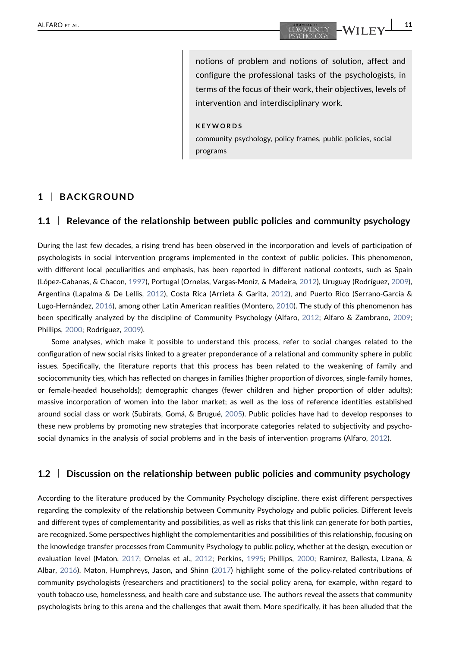notions of problem and notions of solution, affect and configure the professional tasks of the psychologists, in terms of the focus of their work, their objectives, levels of intervention and interdisciplinary work.

KEYWORDS

community psychology, policy frames, public policies, social programs

## 1 | BACKGROUND

## 1.1 | Relevance of the relationship between public policies and community psychology

During the last few decades, a rising trend has been observed in the incorporation and levels of participation of psychologists in social intervention programs implemented in the context of public policies. This phenomenon, with different local peculiarities and emphasis, has been reported in different national contexts, such as Spain (López‐Cabanas, & Chacon, [1997\)](#page-18-0), Portugal (Ornelas, Vargas‐Moniz, & Madeira, [2012](#page-18-0)), Uruguay (Rodríguez, [2009](#page-18-0)), Argentina (Lapalma & De Lellis, [2012\)](#page-18-0), Costa Rica (Arrieta & Garita, [2012\)](#page-17-0), and Puerto Rico (Serrano‐García & Lugo‐Hernández, [2016](#page-18-0)), among other Latin American realities (Montero, [2010](#page-18-0)). The study of this phenomenon has been specifically analyzed by the discipline of Community Psychology (Alfaro, [2012;](#page-17-0) Alfaro & Zambrano, [2009](#page-17-0); Phillips, [2000;](#page-18-0) Rodríguez, [2009\)](#page-18-0).

Some analyses, which make it possible to understand this process, refer to social changes related to the configuration of new social risks linked to a greater preponderance of a relational and community sphere in public issues. Specifically, the literature reports that this process has been related to the weakening of family and sociocommunity ties, which has reflected on changes in families (higher proportion of divorces, single‐family homes, or female‐headed households); demographic changes (fewer children and higher proportion of older adults); massive incorporation of women into the labor market; as well as the loss of reference identities established around social class or work (Subirats, Gomá, & Brugué, [2005](#page-19-0)). Public policies have had to develop responses to these new problems by promoting new strategies that incorporate categories related to subjectivity and psychosocial dynamics in the analysis of social problems and in the basis of intervention programs (Alfaro, [2012](#page-17-0)).

## 1.2 | Discussion on the relationship between public policies and community psychology

According to the literature produced by the Community Psychology discipline, there exist different perspectives regarding the complexity of the relationship between Community Psychology and public policies. Different levels and different types of complementarity and possibilities, as well as risks that this link can generate for both parties, are recognized. Some perspectives highlight the complementarities and possibilities of this relationship, focusing on the knowledge transfer processes from Community Psychology to public policy, whether at the design, execution or evaluation level (Maton, [2017;](#page-18-0) Ornelas et al., [2012;](#page-18-0) Perkins, [1995](#page-18-0); Phillips, [2000;](#page-18-0) Ramirez, Ballesta, Lizana, & Albar, [2016](#page-18-0)). Maton, Humphreys, Jason, and Shinn [\(2017\)](#page-18-0) highlight some of the policy‐related contributions of community psychologists (researchers and practitioners) to the social policy arena, for example, withn regard to youth tobacco use, homelessness, and health care and substance use. The authors reveal the assets that community psychologists bring to this arena and the challenges that await them. More specifically, it has been alluded that the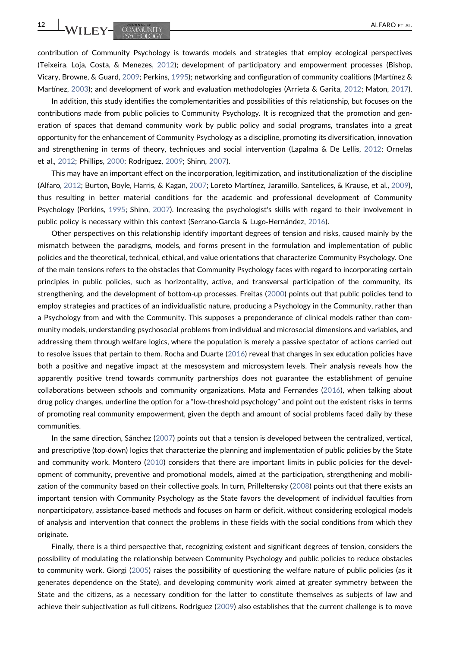contribution of Community Psychology is towards models and strategies that employ ecological perspectives (Teixeira, Loja, Costa, & Menezes, [2012\)](#page-19-0); development of participatory and empowerment processes (Bishop, Vicary, Browne, & Guard, [2009](#page-17-0); Perkins, [1995](#page-18-0)); networking and configuration of community coalitions (Martínez & Martínez, [2003](#page-18-0)); and development of work and evaluation methodologies (Arrieta & Garita, [2012](#page-17-0); Maton, [2017](#page-18-0)).

In addition, this study identifies the complementarities and possibilities of this relationship, but focuses on the contributions made from public policies to Community Psychology. It is recognized that the promotion and generation of spaces that demand community work by public policy and social programs, translates into a great opportunity for the enhancement of Community Psychology as a discipline, promoting its diversification, innovation and strengthening in terms of theory, techniques and social intervention (Lapalma & De Lellis, [2012;](#page-18-0) Ornelas et al., [2012;](#page-18-0) Phillips, [2000;](#page-18-0) Rodríguez, [2009;](#page-18-0) Shinn, [2007\)](#page-19-0).

This may have an important effect on the incorporation, legitimization, and institutionalization of the discipline (Alfaro, [2012](#page-17-0); Burton, Boyle, Harris, & Kagan, [2007;](#page-17-0) Loreto Martínez, Jaramillo, Santelices, & Krause, et al., [2009](#page-18-0)), thus resulting in better material conditions for the academic and professional development of Community Psychology (Perkins, [1995](#page-18-0); Shinn, [2007](#page-19-0)). Increasing the psychologist's skills with regard to their involvement in public policy is necessary within this context (Serrano‐García & Lugo‐Hernández, [2016\)](#page-18-0).

Other perspectives on this relationship identify important degrees of tension and risks, caused mainly by the mismatch between the paradigms, models, and forms present in the formulation and implementation of public policies and the theoretical, technical, ethical, and value orientations that characterize Community Psychology. One of the main tensions refers to the obstacles that Community Psychology faces with regard to incorporating certain principles in public policies, such as horizontality, active, and transversal participation of the community, its strengthening, and the development of bottom-up processes. Freitas ([2000](#page-18-0)) points out that public policies tend to employ strategies and practices of an individualistic nature, producing a Psychology in the Community, rather than a Psychology from and with the Community. This supposes a preponderance of clinical models rather than community models, understanding psychosocial problems from individual and microsocial dimensions and variables, and addressing them through welfare logics, where the population is merely a passive spectator of actions carried out to resolve issues that pertain to them. Rocha and Duarte [\(2016\)](#page-18-0) reveal that changes in sex education policies have both a positive and negative impact at the mesosystem and microsystem levels. Their analysis reveals how the apparently positive trend towards community partnerships does not guarantee the establishment of genuine collaborations between schools and community organizations. Mata and Fernandes [\(2016\)](#page-18-0), when talking about drug policy changes, underline the option for a "low-threshold psychology" and point out the existent risks in terms of promoting real community empowerment, given the depth and amount of social problems faced daily by these communities.

In the same direction, Sánchez ([2007](#page-18-0)) points out that a tension is developed between the centralized, vertical, and prescriptive (top-down) logics that characterize the planning and implementation of public policies by the State and community work. Montero ([2010](#page-18-0)) considers that there are important limits in public policies for the development of community, preventive and promotional models, aimed at the participation, strengthening and mobilization of the community based on their collective goals. In turn, Prilleltensky ([2008](#page-18-0)) points out that there exists an important tension with Community Psychology as the State favors the development of individual faculties from nonparticipatory, assistance‐based methods and focuses on harm or deficit, without considering ecological models of analysis and intervention that connect the problems in these fields with the social conditions from which they originate.

Finally, there is a third perspective that, recognizing existent and significant degrees of tension, considers the possibility of modulating the relationship between Community Psychology and public policies to reduce obstacles to community work. Giorgi ([2005](#page-18-0)) raises the possibility of questioning the welfare nature of public policies (as it generates dependence on the State), and developing community work aimed at greater symmetry between the State and the citizens, as a necessary condition for the latter to constitute themselves as subjects of law and achieve their subjectivation as full citizens. Rodríguez ([2009](#page-18-0)) also establishes that the current challenge is to move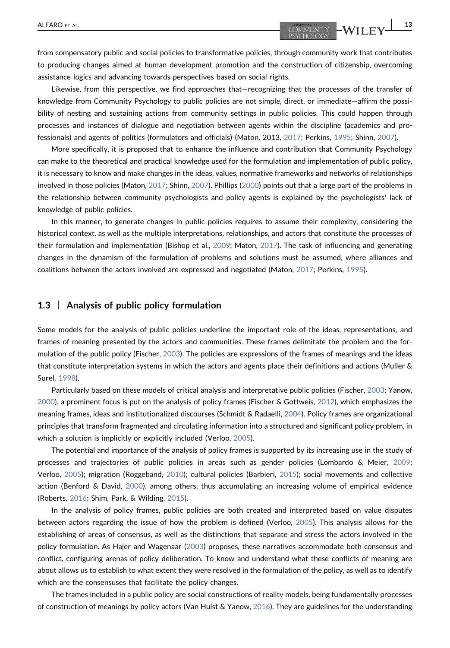from compensatory public and social policies to transformative policies, through community work that contributes to producing changes aimed at human development promotion and the construction of citizenship, overcoming assistance logics and advancing towards perspectives based on social rights.

Likewise, from this perspective, we find approaches that—recognizing that the processes of the transfer of knowledge from Community Psychology to public policies are not simple, direct, or immediate—affirm the possibility of nesting and sustaining actions from community settings in public policies. This could happen through processes and instances of dialogue and negotiation between agents within the discipline (academics and professionals) and agents of politics (formulators and officials) (Maton, 2013, [2017](#page-18-0); Perkins, [1995](#page-18-0); Shinn, [2007](#page-19-0)).

More specifically, it is proposed that to enhance the influence and contribution that Community Psychology can make to the theoretical and practical knowledge used for the formulation and implementation of public policy, it is necessary to know and make changes in the ideas, values, normative frameworks and networks of relationships involved in those policies (Maton, [2017;](#page-18-0) Shinn, [2007\)](#page-19-0). Phillips ([2000\)](#page-18-0) points out that a large part of the problems in the relationship between community psychologists and policy agents is explained by the psychologists' lack of knowledge of public policies.

In this manner, to generate changes in public policies requires to assume their complexity, considering the historical context, as well as the multiple interpretations, relationships, and actors that constitute the processes of their formulation and implementation (Bishop et al., [2009;](#page-17-0) Maton, [2017\)](#page-18-0). The task of influencing and generating changes in the dynamism of the formulation of problems and solutions must be assumed, where alliances and coalitions between the actors involved are expressed and negotiated (Maton, [2017;](#page-18-0) Perkins, [1995\)](#page-18-0).

#### 1.3 | Analysis of public policy formulation

Some models for the analysis of public policies underline the important role of the ideas, representations, and frames of meaning presented by the actors and communities. These frames delimitate the problem and the formulation of the public policy (Fischer, [2003](#page-17-0)). The policies are expressions of the frames of meanings and the ideas that constitute interpretation systems in which the actors and agents place their definitions and actions (Muller & Surel, [1998](#page-18-0)).

Particularly based on these models of critical analysis and interpretative public policies (Fischer, [2003](#page-17-0); Yanow, [2000](#page-19-0)), a prominent focus is put on the analysis of policy frames (Fischer & Gottweis, [2012](#page-17-0)), which emphasizes the meaning frames, ideas and institutionalized discourses (Schmidt & Radaelli, [2004\)](#page-18-0). Policy frames are organizational principles that transform fragmented and circulating information into a structured and significant policy problem, in which a solution is implicitly or explicitly included (Verloo, [2005](#page-19-0)).

The potential and importance of the analysis of policy frames is supported by its increasing use in the study of processes and trajectories of public policies in areas such as gender policies (Lombardo & Meier, [2009](#page-18-0); Verloo, [2005\)](#page-19-0); migration (Roggeband, [2010\)](#page-18-0); cultural policies (Barbieri, [2015\)](#page-17-0); social movements and collective action (Benford & David, [2000\)](#page-17-0), among others, thus accumulating an increasing volume of empirical evidence (Roberts, [2016;](#page-18-0) Shim, Park, & Wilding, [2015\)](#page-19-0).

In the analysis of policy frames, public policies are both created and interpreted based on value disputes between actors regarding the issue of how the problem is defined (Verloo, [2005](#page-19-0)). This analysis allows for the establishing of areas of consensus, as well as the distinctions that separate and stress the actors involved in the policy formulation. As Hajer and Wagenaar ([2003](#page-18-0)) proposes, these narratives accommodate both consensus and conflict, configuring arenas of policy deliberation. To know and understand what these conflicts of meaning are about allows us to establish to what extent they were resolved in the formulation of the policy, as well as to identify which are the consensuses that facilitate the policy changes.

The frames included in a public policy are social constructions of reality models, being fundamentally processes of construction of meanings by policy actors (Van Hulst & Yanow, [2016](#page-18-0)). They are guidelines for the understanding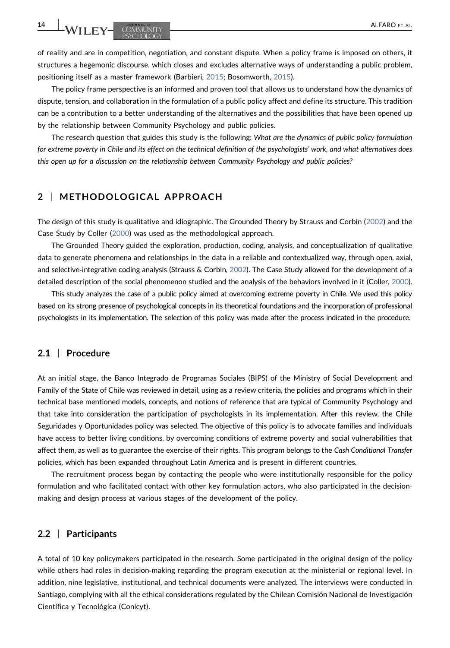WILEY-COMMUNITY **ALFARO ET AL** 

of reality and are in competition, negotiation, and constant dispute. When a policy frame is imposed on others, it structures a hegemonic discourse, which closes and excludes alternative ways of understanding a public problem, positioning itself as a master framework (Barbieri, [2015;](#page-17-0) Bosomworth, [2015](#page-17-0)).

The policy frame perspective is an informed and proven tool that allows us to understand how the dynamics of dispute, tension, and collaboration in the formulation of a public policy affect and define its structure. This tradition can be a contribution to a better understanding of the alternatives and the possibilities that have been opened up by the relationship between Community Psychology and public policies.

The research question that guides this study is the following: What are the dynamics of public policy formulation for extreme poverty in Chile and its effect on the technical definition of the psychologists' work, and what alternatives does this open up for a discussion on the relationship between Community Psychology and public policies?

# 2 | METHODOLOGICAL APPROACH

The design of this study is qualitative and idiographic. The Grounded Theory by Strauss and Corbin [\(2002\)](#page-19-0) and the Case Study by Coller ([2000](#page-17-0)) was used as the methodological approach.

The Grounded Theory guided the exploration, production, coding, analysis, and conceptualization of qualitative data to generate phenomena and relationships in the data in a reliable and contextualized way, through open, axial, and selective-integrative coding analysis (Strauss & Corbin, [2002\)](#page-19-0). The Case Study allowed for the development of a detailed description of the social phenomenon studied and the analysis of the behaviors involved in it (Coller, [2000](#page-17-0)).

This study analyzes the case of a public policy aimed at overcoming extreme poverty in Chile. We used this policy based on its strong presence of psychological concepts in its theoretical foundations and the incorporation of professional psychologists in its implementation. The selection of this policy was made after the process indicated in the procedure.

# 2.1 | Procedure

At an initial stage, the Banco Integrado de Programas Sociales (BIPS) of the Ministry of Social Development and Family of the State of Chile was reviewed in detail, using as a review criteria, the policies and programs which in their technical base mentioned models, concepts, and notions of reference that are typical of Community Psychology and that take into consideration the participation of psychologists in its implementation. After this review, the Chile Seguridades y Oportunidades policy was selected. The objective of this policy is to advocate families and individuals have access to better living conditions, by overcoming conditions of extreme poverty and social vulnerabilities that affect them, as well as to guarantee the exercise of their rights. This program belongs to the Cash Conditional Transfer policies, which has been expanded throughout Latin America and is present in different countries.

The recruitment process began by contacting the people who were institutionally responsible for the policy formulation and who facilitated contact with other key formulation actors, who also participated in the decisionmaking and design process at various stages of the development of the policy.

#### 2.2 | Participants

A total of 10 key policymakers participated in the research. Some participated in the original design of the policy while others had roles in decision-making regarding the program execution at the ministerial or regional level. In addition, nine legislative, institutional, and technical documents were analyzed. The interviews were conducted in Santiago, complying with all the ethical considerations regulated by the Chilean Comisión Nacional de Investigación Científica y Tecnológica (Conicyt).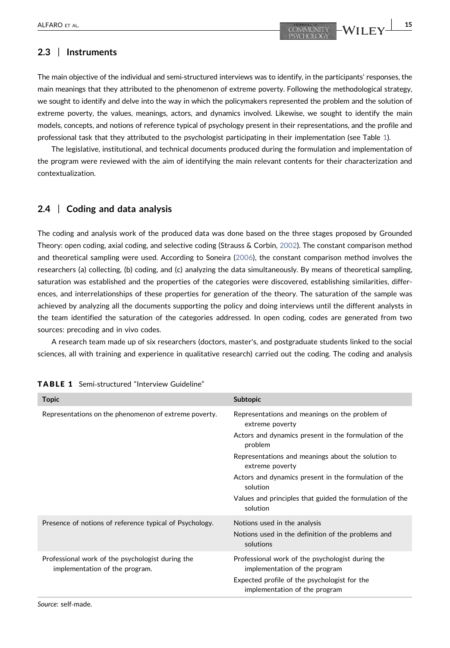# 2.3 | Instruments

The main objective of the individual and semi‐structured interviews was to identify, in the participants' responses, the main meanings that they attributed to the phenomenon of extreme poverty. Following the methodological strategy, we sought to identify and delve into the way in which the policymakers represented the problem and the solution of extreme poverty, the values, meanings, actors, and dynamics involved. Likewise, we sought to identify the main models, concepts, and notions of reference typical of psychology present in their representations, and the profile and professional task that they attributed to the psychologist participating in their implementation (see Table [1](#page-5-0)).

The legislative, institutional, and technical documents produced during the formulation and implementation of the program were reviewed with the aim of identifying the main relevant contents for their characterization and contextualization.

## 2.4 | Coding and data analysis

The coding and analysis work of the produced data was done based on the three stages proposed by Grounded Theory: open coding, axial coding, and selective coding (Strauss & Corbin, [2002\)](#page-19-0). The constant comparison method and theoretical sampling were used. According to Soneira ([2006](#page-19-0)), the constant comparison method involves the researchers (a) collecting, (b) coding, and (c) analyzing the data simultaneously. By means of theoretical sampling, saturation was established and the properties of the categories were discovered, establishing similarities, differences, and interrelationships of these properties for generation of the theory. The saturation of the sample was achieved by analyzing all the documents supporting the policy and doing interviews until the different analysts in the team identified the saturation of the categories addressed. In open coding, codes are generated from two sources: precoding and in vivo codes.

A research team made up of six researchers (doctors, master's, and postgraduate students linked to the social sciences, all with training and experience in qualitative research) carried out the coding. The coding and analysis

| <b>Topic</b>                                                                       | <b>Subtopic</b>                                                                                                                                                    |
|------------------------------------------------------------------------------------|--------------------------------------------------------------------------------------------------------------------------------------------------------------------|
| Representations on the phenomenon of extreme poverty.                              | Representations and meanings on the problem of<br>extreme poverty                                                                                                  |
|                                                                                    | Actors and dynamics present in the formulation of the<br>problem                                                                                                   |
|                                                                                    | Representations and meanings about the solution to<br>extreme poverty                                                                                              |
|                                                                                    | Actors and dynamics present in the formulation of the<br>solution                                                                                                  |
|                                                                                    | Values and principles that guided the formulation of the<br>solution                                                                                               |
| Presence of notions of reference typical of Psychology.                            | Notions used in the analysis<br>Notions used in the definition of the problems and<br>solutions                                                                    |
| Professional work of the psychologist during the<br>implementation of the program. | Professional work of the psychologist during the<br>implementation of the program<br>Expected profile of the psychologist for the<br>implementation of the program |

#### <span id="page-5-0"></span>TABLE 1 Semi‐structured "Interview Guideline"

Source: self‐made.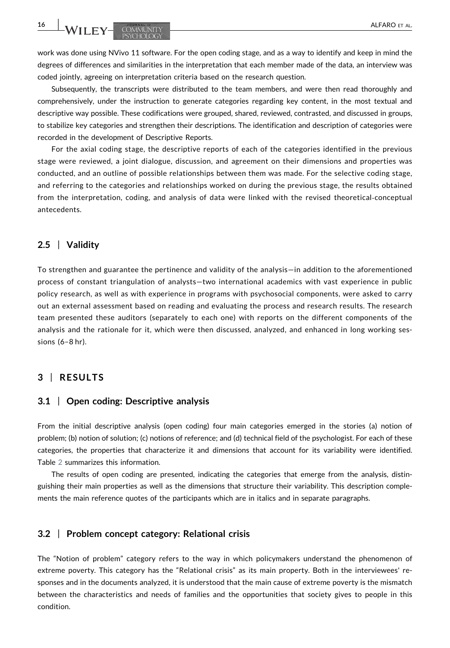16 WILEY- COMMUNITY **ALFARO ET ALFARO ET AL** 

work was done using NVivo 11 software. For the open coding stage, and as a way to identify and keep in mind the degrees of differences and similarities in the interpretation that each member made of the data, an interview was coded jointly, agreeing on interpretation criteria based on the research question.

Subsequently, the transcripts were distributed to the team members, and were then read thoroughly and comprehensively, under the instruction to generate categories regarding key content, in the most textual and descriptive way possible. These codifications were grouped, shared, reviewed, contrasted, and discussed in groups, to stabilize key categories and strengthen their descriptions. The identification and description of categories were recorded in the development of Descriptive Reports.

For the axial coding stage, the descriptive reports of each of the categories identified in the previous stage were reviewed, a joint dialogue, discussion, and agreement on their dimensions and properties was conducted, and an outline of possible relationships between them was made. For the selective coding stage, and referring to the categories and relationships worked on during the previous stage, the results obtained from the interpretation, coding, and analysis of data were linked with the revised theoretical‐conceptual antecedents.

## 2.5 | Validity

To strengthen and guarantee the pertinence and validity of the analysis—in addition to the aforementioned process of constant triangulation of analysts—two international academics with vast experience in public policy research, as well as with experience in programs with psychosocial components, were asked to carry out an external assessment based on reading and evaluating the process and research results. The research team presented these auditors (separately to each one) with reports on the different components of the analysis and the rationale for it, which were then discussed, analyzed, and enhanced in long working sessions (6–8 hr).

# 3 | RESULTS

#### 3.1 | Open coding: Descriptive analysis

From the initial descriptive analysis (open coding) four main categories emerged in the stories (a) notion of problem; (b) notion of solution; (c) notions of reference; and (d) technical field of the psychologist. For each of these categories, the properties that characterize it and dimensions that account for its variability were identified. Table [2](#page-7-0) summarizes this information.

The results of open coding are presented, indicating the categories that emerge from the analysis, distinguishing their main properties as well as the dimensions that structure their variability. This description complements the main reference quotes of the participants which are in italics and in separate paragraphs.

#### 3.2 | Problem concept category: Relational crisis

The "Notion of problem" category refers to the way in which policymakers understand the phenomenon of extreme poverty. This category has the "Relational crisis" as its main property. Both in the interviewees' responses and in the documents analyzed, it is understood that the main cause of extreme poverty is the mismatch between the characteristics and needs of families and the opportunities that society gives to people in this condition.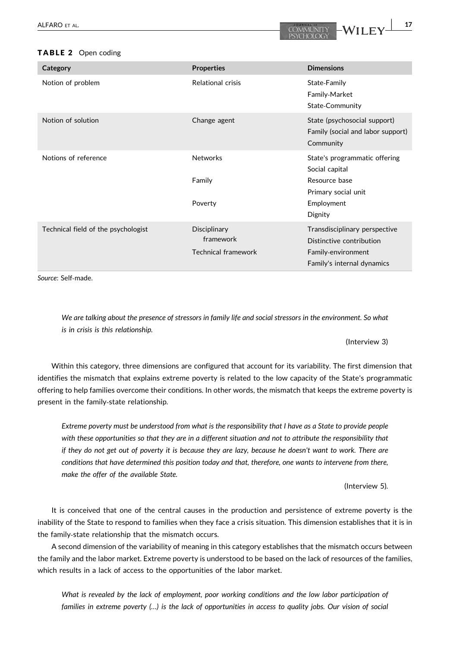#### <span id="page-7-0"></span>TABLE 2 Open coding

| Category                            | <b>Properties</b>                                       | <b>Dimensions</b>                                                                                                |
|-------------------------------------|---------------------------------------------------------|------------------------------------------------------------------------------------------------------------------|
| Notion of problem                   | <b>Relational crisis</b>                                | State-Family<br>Family-Market<br>State-Community                                                                 |
| Notion of solution                  | Change agent                                            | State (psychosocial support)<br>Family (social and labor support)<br>Community                                   |
| Notions of reference                | <b>Networks</b><br>Family<br>Poverty                    | State's programmatic offering<br>Social capital<br>Resource base<br>Primary social unit<br>Employment<br>Dignity |
| Technical field of the psychologist | Disciplinary<br>framework<br><b>Technical framework</b> | Transdisciplinary perspective<br>Distinctive contribution<br>Family-environment<br>Family's internal dynamics    |

Source: Self‐made.

We are talking about the presence of stressors in family life and social stressors in the environment. So what is in crisis is this relationship.

#### (Interview 3)

Within this category, three dimensions are configured that account for its variability. The first dimension that identifies the mismatch that explains extreme poverty is related to the low capacity of the State's programmatic offering to help families overcome their conditions. In other words, the mismatch that keeps the extreme poverty is present in the family‐state relationship.

Extreme poverty must be understood from what is the responsibility that I have as a State to provide people with these opportunities so that they are in a different situation and not to attribute the responsibility that if they do not get out of poverty it is because they are lazy, because he doesn't want to work. There are conditions that have determined this position today and that, therefore, one wants to intervene from there, make the offer of the available State.

(Interview 5).

It is conceived that one of the central causes in the production and persistence of extreme poverty is the inability of the State to respond to families when they face a crisis situation. This dimension establishes that it is in the family‐state relationship that the mismatch occurs.

A second dimension of the variability of meaning in this category establishes that the mismatch occurs between the family and the labor market. Extreme poverty is understood to be based on the lack of resources of the families, which results in a lack of access to the opportunities of the labor market.

What is revealed by the lack of employment, poor working conditions and the low labor participation of families in extreme poverty (…) is the lack of opportunities in access to quality jobs. Our vision of social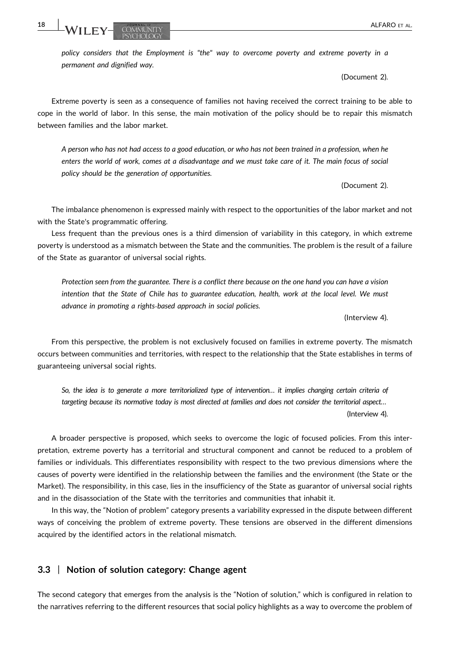policy considers that the Employment is "the" way to overcome poverty and extreme poverty in a permanent and dignified way.

(Document 2).

Extreme poverty is seen as a consequence of families not having received the correct training to be able to cope in the world of labor. In this sense, the main motivation of the policy should be to repair this mismatch between families and the labor market.

A person who has not had access to a good education, or who has not been trained in a profession, when he enters the world of work, comes at a disadvantage and we must take care of it. The main focus of social policy should be the generation of opportunities.

(Document 2).

The imbalance phenomenon is expressed mainly with respect to the opportunities of the labor market and not with the State's programmatic offering.

Less frequent than the previous ones is a third dimension of variability in this category, in which extreme poverty is understood as a mismatch between the State and the communities. The problem is the result of a failure of the State as guarantor of universal social rights.

Protection seen from the guarantee. There is a conflict there because on the one hand you can have a vision intention that the State of Chile has to guarantee education, health, work at the local level. We must advance in promoting a rights‐based approach in social policies.

(Interview 4).

From this perspective, the problem is not exclusively focused on families in extreme poverty. The mismatch occurs between communities and territories, with respect to the relationship that the State establishes in terms of guaranteeing universal social rights.

So, the idea is to generate a more territorialized type of intervention… it implies changing certain criteria of targeting because its normative today is most directed at families and does not consider the territorial aspect… (Interview 4).

A broader perspective is proposed, which seeks to overcome the logic of focused policies. From this interpretation, extreme poverty has a territorial and structural component and cannot be reduced to a problem of families or individuals. This differentiates responsibility with respect to the two previous dimensions where the causes of poverty were identified in the relationship between the families and the environment (the State or the Market). The responsibility, in this case, lies in the insufficiency of the State as guarantor of universal social rights and in the disassociation of the State with the territories and communities that inhabit it.

In this way, the "Notion of problem" category presents a variability expressed in the dispute between different ways of conceiving the problem of extreme poverty. These tensions are observed in the different dimensions acquired by the identified actors in the relational mismatch.

## 3.3 | Notion of solution category: Change agent

The second category that emerges from the analysis is the "Notion of solution," which is configured in relation to the narratives referring to the different resources that social policy highlights as a way to overcome the problem of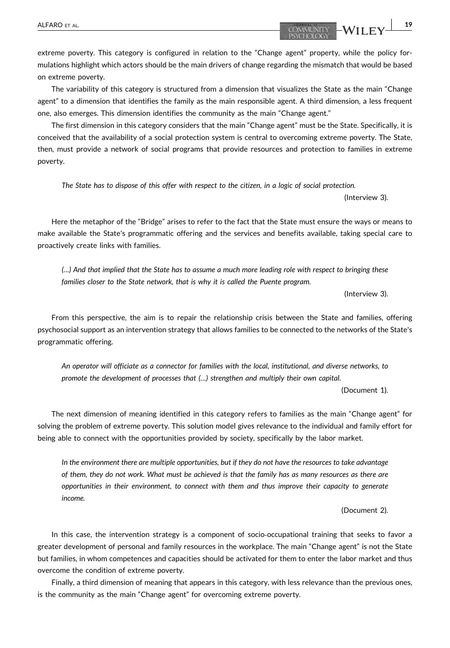extreme poverty. This category is configured in relation to the "Change agent" property, while the policy formulations highlight which actors should be the main drivers of change regarding the mismatch that would be based on extreme poverty.

The variability of this category is structured from a dimension that visualizes the State as the main "Change agent" to a dimension that identifies the family as the main responsible agent. A third dimension, a less frequent one, also emerges. This dimension identifies the community as the main "Change agent."

The first dimension in this category considers that the main "Change agent" must be the State. Specifically, it is conceived that the availability of a social protection system is central to overcoming extreme poverty. The State, then, must provide a network of social programs that provide resources and protection to families in extreme poverty.

The State has to dispose of this offer with respect to the citizen, in a logic of social protection.

(Interview 3).

Here the metaphor of the "Bridge" arises to refer to the fact that the State must ensure the ways or means to make available the State's programmatic offering and the services and benefits available, taking special care to proactively create links with families.

(…) And that implied that the State has to assume a much more leading role with respect to bringing these families closer to the State network, that is why it is called the Puente program.

(Interview 3).

From this perspective, the aim is to repair the relationship crisis between the State and families, offering psychosocial support as an intervention strategy that allows families to be connected to the networks of the State's programmatic offering.

An operator will officiate as a connector for families with the local, institutional, and diverse networks, to promote the development of processes that (…) strengthen and multiply their own capital.

(Document 1).

The next dimension of meaning identified in this category refers to families as the main "Change agent" for solving the problem of extreme poverty. This solution model gives relevance to the individual and family effort for being able to connect with the opportunities provided by society, specifically by the labor market.

In the environment there are multiple opportunities, but if they do not have the resources to take advantage of them, they do not work. What must be achieved is that the family has as many resources as there are opportunities in their environment, to connect with them and thus improve their capacity to generate income.

(Document 2).

In this case, the intervention strategy is a component of socio-occupational training that seeks to favor a greater development of personal and family resources in the workplace. The main "Change agent" is not the State but families, in whom competences and capacities should be activated for them to enter the labor market and thus overcome the condition of extreme poverty.

Finally, a third dimension of meaning that appears in this category, with less relevance than the previous ones, is the community as the main "Change agent" for overcoming extreme poverty.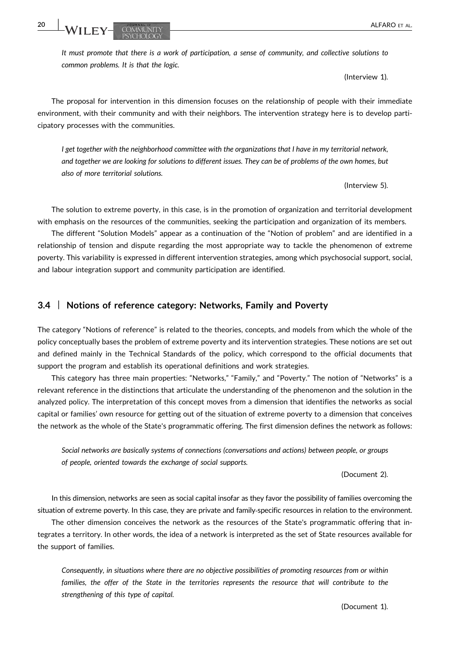It must promote that there is a work of participation, a sense of community, and collective solutions to common problems. It is that the logic.

(Interview 1).

The proposal for intervention in this dimension focuses on the relationship of people with their immediate environment, with their community and with their neighbors. The intervention strategy here is to develop participatory processes with the communities.

I get together with the neighborhood committee with the organizations that I have in my territorial network, and together we are looking for solutions to different issues. They can be of problems of the own homes, but also of more territorial solutions.

(Interview 5).

The solution to extreme poverty, in this case, is in the promotion of organization and territorial development with emphasis on the resources of the communities, seeking the participation and organization of its members.

The different "Solution Models" appear as a continuation of the "Notion of problem" and are identified in a relationship of tension and dispute regarding the most appropriate way to tackle the phenomenon of extreme poverty. This variability is expressed in different intervention strategies, among which psychosocial support, social, and labour integration support and community participation are identified.

## 3.4 | Notions of reference category: Networks, Family and Poverty

The category "Notions of reference" is related to the theories, concepts, and models from which the whole of the policy conceptually bases the problem of extreme poverty and its intervention strategies. These notions are set out and defined mainly in the Technical Standards of the policy, which correspond to the official documents that support the program and establish its operational definitions and work strategies.

This category has three main properties: "Networks," "Family," and "Poverty." The notion of "Networks" is a relevant reference in the distinctions that articulate the understanding of the phenomenon and the solution in the analyzed policy. The interpretation of this concept moves from a dimension that identifies the networks as social capital or families' own resource for getting out of the situation of extreme poverty to a dimension that conceives the network as the whole of the State's programmatic offering. The first dimension defines the network as follows:

Social networks are basically systems of connections (conversations and actions) between people, or groups of people, oriented towards the exchange of social supports.

(Document 2).

In this dimension, networks are seen as social capital insofar as they favor the possibility of families overcoming the situation of extreme poverty. In this case, they are private and family-specific resources in relation to the environment.

The other dimension conceives the network as the resources of the State's programmatic offering that integrates a territory. In other words, the idea of a network is interpreted as the set of State resources available for the support of families.

Consequently, in situations where there are no objective possibilities of promoting resources from or within families, the offer of the State in the territories represents the resource that will contribute to the strengthening of this type of capital.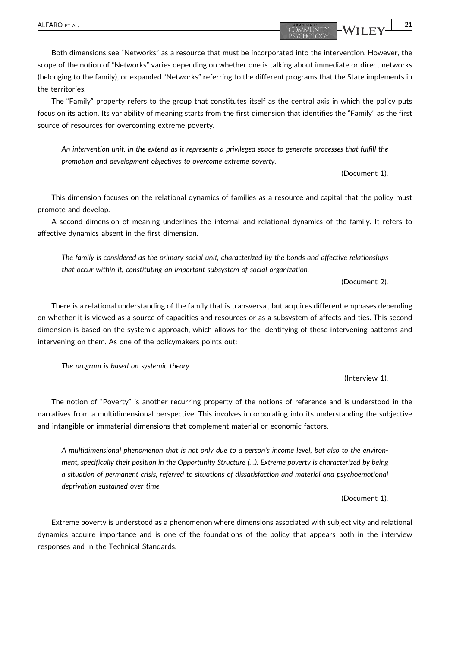Both dimensions see "Networks" as a resource that must be incorporated into the intervention. However, the scope of the notion of "Networks" varies depending on whether one is talking about immediate or direct networks

The "Family" property refers to the group that constitutes itself as the central axis in which the policy puts focus on its action. Its variability of meaning starts from the first dimension that identifies the "Family" as the first source of resources for overcoming extreme poverty.

(belonging to the family), or expanded "Networks" referring to the different programs that the State implements in

An intervention unit, in the extend as it represents a privileged space to generate processes that fulfill the promotion and development objectives to overcome extreme poverty.

(Document 1).

This dimension focuses on the relational dynamics of families as a resource and capital that the policy must promote and develop.

A second dimension of meaning underlines the internal and relational dynamics of the family. It refers to affective dynamics absent in the first dimension.

The family is considered as the primary social unit, characterized by the bonds and affective relationships that occur within it, constituting an important subsystem of social organization.

(Document 2).

(Interview 1).

There is a relational understanding of the family that is transversal, but acquires different emphases depending on whether it is viewed as a source of capacities and resources or as a subsystem of affects and ties. This second dimension is based on the systemic approach, which allows for the identifying of these intervening patterns and intervening on them. As one of the policymakers points out:

The program is based on systemic theory.

The notion of "Poverty" is another recurring property of the notions of reference and is understood in the narratives from a multidimensional perspective. This involves incorporating into its understanding the subjective and intangible or immaterial dimensions that complement material or economic factors.

A multidimensional phenomenon that is not only due to a person's income level, but also to the environment, specifically their position in the Opportunity Structure (…). Extreme poverty is characterized by being a situation of permanent crisis, referred to situations of dissatisfaction and material and psychoemotional deprivation sustained over time.

(Document 1).

Extreme poverty is understood as a phenomenon where dimensions associated with subjectivity and relational dynamics acquire importance and is one of the foundations of the policy that appears both in the interview responses and in the Technical Standards.

the territories.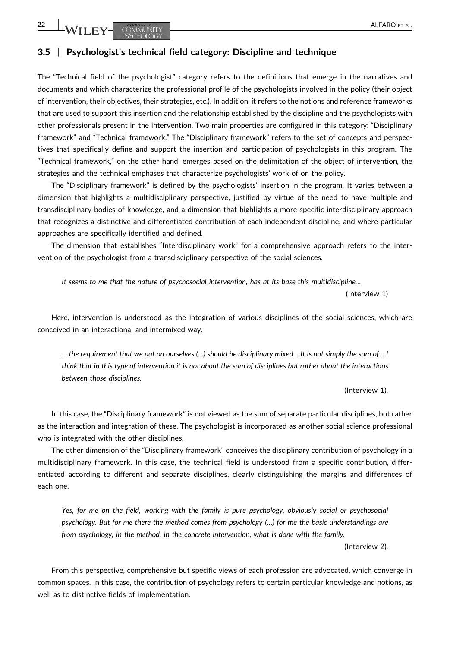## 3.5 | Psychologist's technical field category: Discipline and technique

The "Technical field of the psychologist" category refers to the definitions that emerge in the narratives and documents and which characterize the professional profile of the psychologists involved in the policy (their object of intervention, their objectives, their strategies, etc.). In addition, it refers to the notions and reference frameworks that are used to support this insertion and the relationship established by the discipline and the psychologists with other professionals present in the intervention. Two main properties are configured in this category: "Disciplinary framework" and "Technical framework." The "Disciplinary framework" refers to the set of concepts and perspectives that specifically define and support the insertion and participation of psychologists in this program. The "Technical framework," on the other hand, emerges based on the delimitation of the object of intervention, the strategies and the technical emphases that characterize psychologists' work of on the policy.

The "Disciplinary framework" is defined by the psychologists' insertion in the program. It varies between a dimension that highlights a multidisciplinary perspective, justified by virtue of the need to have multiple and transdisciplinary bodies of knowledge, and a dimension that highlights a more specific interdisciplinary approach that recognizes a distinctive and differentiated contribution of each independent discipline, and where particular approaches are specifically identified and defined.

The dimension that establishes "Interdisciplinary work" for a comprehensive approach refers to the intervention of the psychologist from a transdisciplinary perspective of the social sciences.

It seems to me that the nature of psychosocial intervention, has at its base this multidiscipline…

(Interview 1)

Here, intervention is understood as the integration of various disciplines of the social sciences, which are conceived in an interactional and intermixed way.

… the requirement that we put on ourselves (…) should be disciplinary mixed… It is not simply the sum of… I think that in this type of intervention it is not about the sum of disciplines but rather about the interactions between those disciplines.

(Interview 1).

In this case, the "Disciplinary framework" is not viewed as the sum of separate particular disciplines, but rather as the interaction and integration of these. The psychologist is incorporated as another social science professional who is integrated with the other disciplines.

The other dimension of the "Disciplinary framework" conceives the disciplinary contribution of psychology in a multidisciplinary framework. In this case, the technical field is understood from a specific contribution, differentiated according to different and separate disciplines, clearly distinguishing the margins and differences of each one.

Yes, for me on the field, working with the family is pure psychology, obviously social or psychosocial psychology. But for me there the method comes from psychology (…) for me the basic understandings are from psychology, in the method, in the concrete intervention, what is done with the family.

(Interview 2).

From this perspective, comprehensive but specific views of each profession are advocated, which converge in common spaces. In this case, the contribution of psychology refers to certain particular knowledge and notions, as well as to distinctive fields of implementation.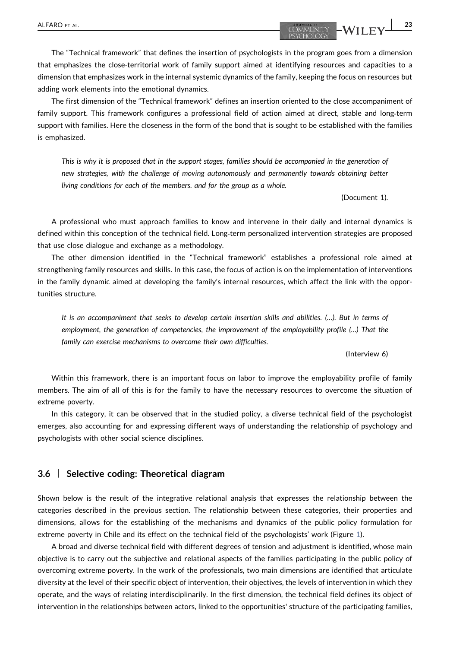The first dimension of the "Technical framework" defines an insertion oriented to the close accompaniment of family support. This framework configures a professional field of action aimed at direct, stable and long‐term support with families. Here the closeness in the form of the bond that is sought to be established with the families is emphasized.

This is why it is proposed that in the support stages, families should be accompanied in the generation of new strategies, with the challenge of moving autonomously and permanently towards obtaining better living conditions for each of the members. and for the group as a whole.

(Document 1).

A professional who must approach families to know and intervene in their daily and internal dynamics is defined within this conception of the technical field. Long-term personalized intervention strategies are proposed that use close dialogue and exchange as a methodology.

The other dimension identified in the "Technical framework" establishes a professional role aimed at strengthening family resources and skills. In this case, the focus of action is on the implementation of interventions in the family dynamic aimed at developing the family's internal resources, which affect the link with the opportunities structure.

It is an accompaniment that seeks to develop certain insertion skills and abilities. (…). But in terms of employment, the generation of competencies, the improvement of the employability profile (…) That the family can exercise mechanisms to overcome their own difficulties.

(Interview 6)

Within this framework, there is an important focus on labor to improve the employability profile of family members. The aim of all of this is for the family to have the necessary resources to overcome the situation of extreme poverty.

In this category, it can be observed that in the studied policy, a diverse technical field of the psychologist emerges, also accounting for and expressing different ways of understanding the relationship of psychology and psychologists with other social science disciplines.

#### 3.6 | Selective coding: Theoretical diagram

Shown below is the result of the integrative relational analysis that expresses the relationship between the categories described in the previous section. The relationship between these categories, their properties and dimensions, allows for the establishing of the mechanisms and dynamics of the public policy formulation for extreme poverty in Chile and its effect on the technical field of the psychologists' work (Figure [1](#page-14-0)).

A broad and diverse technical field with different degrees of tension and adjustment is identified, whose main objective is to carry out the subjective and relational aspects of the families participating in the public policy of overcoming extreme poverty. In the work of the professionals, two main dimensions are identified that articulate diversity at the level of their specific object of intervention, their objectives, the levels of intervention in which they operate, and the ways of relating interdisciplinarily. In the first dimension, the technical field defines its object of intervention in the relationships between actors, linked to the opportunities' structure of the participating families,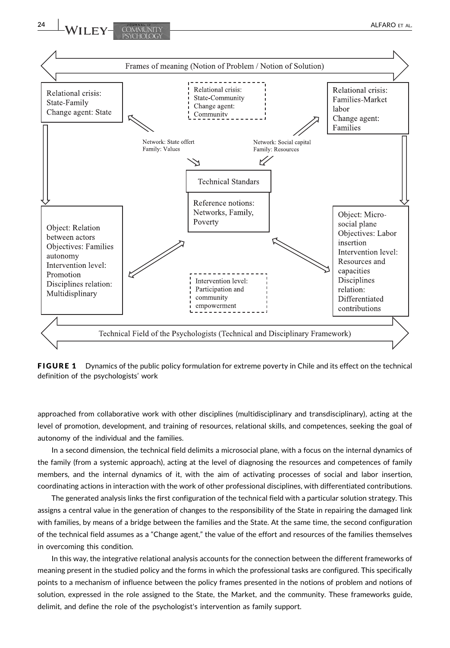<span id="page-14-0"></span>

FIGURE 1 Dynamics of the public policy formulation for extreme poverty in Chile and its effect on the technical definition of the psychologists' work

approached from collaborative work with other disciplines (multidisciplinary and transdisciplinary), acting at the level of promotion, development, and training of resources, relational skills, and competences, seeking the goal of autonomy of the individual and the families.

In a second dimension, the technical field delimits a microsocial plane, with a focus on the internal dynamics of the family (from a systemic approach), acting at the level of diagnosing the resources and competences of family members, and the internal dynamics of it, with the aim of activating processes of social and labor insertion, coordinating actions in interaction with the work of other professional disciplines, with differentiated contributions.

The generated analysis links the first configuration of the technical field with a particular solution strategy. This assigns a central value in the generation of changes to the responsibility of the State in repairing the damaged link with families, by means of a bridge between the families and the State. At the same time, the second configuration of the technical field assumes as a "Change agent," the value of the effort and resources of the families themselves in overcoming this condition.

In this way, the integrative relational analysis accounts for the connection between the different frameworks of meaning present in the studied policy and the forms in which the professional tasks are configured. This specifically points to a mechanism of influence between the policy frames presented in the notions of problem and notions of solution, expressed in the role assigned to the State, the Market, and the community. These frameworks guide, delimit, and define the role of the psychologist's intervention as family support.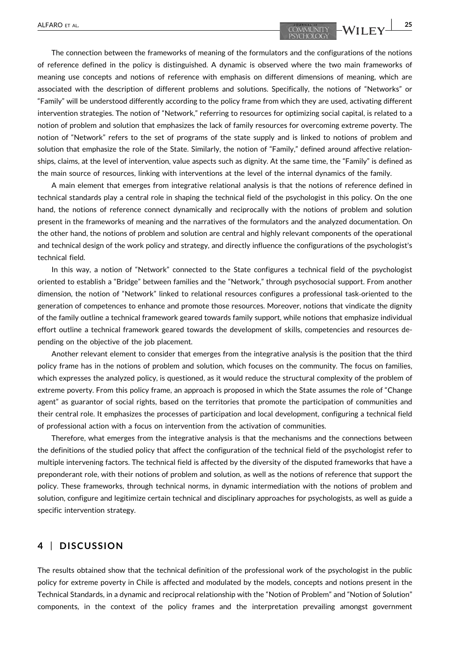The connection between the frameworks of meaning of the formulators and the configurations of the notions of reference defined in the policy is distinguished. A dynamic is observed where the two main frameworks of meaning use concepts and notions of reference with emphasis on different dimensions of meaning, which are associated with the description of different problems and solutions. Specifically, the notions of "Networks" or "Family" will be understood differently according to the policy frame from which they are used, activating different intervention strategies. The notion of "Network," referring to resources for optimizing social capital, is related to a notion of problem and solution that emphasizes the lack of family resources for overcoming extreme poverty. The notion of "Network" refers to the set of programs of the state supply and is linked to notions of problem and solution that emphasize the role of the State. Similarly, the notion of "Family," defined around affective relationships, claims, at the level of intervention, value aspects such as dignity. At the same time, the "Family" is defined as

A main element that emerges from integrative relational analysis is that the notions of reference defined in technical standards play a central role in shaping the technical field of the psychologist in this policy. On the one hand, the notions of reference connect dynamically and reciprocally with the notions of problem and solution present in the frameworks of meaning and the narratives of the formulators and the analyzed documentation. On the other hand, the notions of problem and solution are central and highly relevant components of the operational and technical design of the work policy and strategy, and directly influence the configurations of the psychologist's technical field.

the main source of resources, linking with interventions at the level of the internal dynamics of the family.

In this way, a notion of "Network" connected to the State configures a technical field of the psychologist oriented to establish a "Bridge" between families and the "Network," through psychosocial support. From another dimension, the notion of "Network" linked to relational resources configures a professional task‐oriented to the generation of competences to enhance and promote those resources. Moreover, notions that vindicate the dignity of the family outline a technical framework geared towards family support, while notions that emphasize individual effort outline a technical framework geared towards the development of skills, competencies and resources depending on the objective of the job placement.

Another relevant element to consider that emerges from the integrative analysis is the position that the third policy frame has in the notions of problem and solution, which focuses on the community. The focus on families, which expresses the analyzed policy, is questioned, as it would reduce the structural complexity of the problem of extreme poverty. From this policy frame, an approach is proposed in which the State assumes the role of "Change agent" as guarantor of social rights, based on the territories that promote the participation of communities and their central role. It emphasizes the processes of participation and local development, configuring a technical field of professional action with a focus on intervention from the activation of communities.

Therefore, what emerges from the integrative analysis is that the mechanisms and the connections between the definitions of the studied policy that affect the configuration of the technical field of the psychologist refer to multiple intervening factors. The technical field is affected by the diversity of the disputed frameworks that have a preponderant role, with their notions of problem and solution, as well as the notions of reference that support the policy. These frameworks, through technical norms, in dynamic intermediation with the notions of problem and solution, configure and legitimize certain technical and disciplinary approaches for psychologists, as well as guide a specific intervention strategy.

# 4 | DISCUSSION

The results obtained show that the technical definition of the professional work of the psychologist in the public policy for extreme poverty in Chile is affected and modulated by the models, concepts and notions present in the Technical Standards, in a dynamic and reciprocal relationship with the "Notion of Problem" and "Notion of Solution" components, in the context of the policy frames and the interpretation prevailing amongst government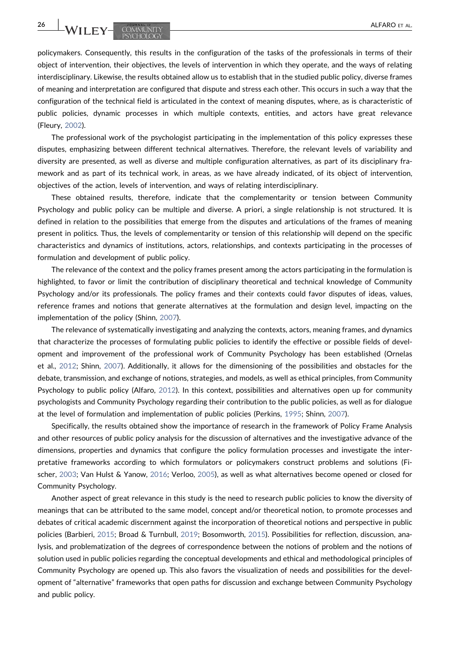**26 WILEY- COMMUNITY COMMUNITY** 

policymakers. Consequently, this results in the configuration of the tasks of the professionals in terms of their object of intervention, their objectives, the levels of intervention in which they operate, and the ways of relating interdisciplinary. Likewise, the results obtained allow us to establish that in the studied public policy, diverse frames of meaning and interpretation are configured that dispute and stress each other. This occurs in such a way that the configuration of the technical field is articulated in the context of meaning disputes, where, as is characteristic of public policies, dynamic processes in which multiple contexts, entities, and actors have great relevance (Fleury, [2002](#page-18-0)).

The professional work of the psychologist participating in the implementation of this policy expresses these disputes, emphasizing between different technical alternatives. Therefore, the relevant levels of variability and diversity are presented, as well as diverse and multiple configuration alternatives, as part of its disciplinary framework and as part of its technical work, in areas, as we have already indicated, of its object of intervention, objectives of the action, levels of intervention, and ways of relating interdisciplinary.

These obtained results, therefore, indicate that the complementarity or tension between Community Psychology and public policy can be multiple and diverse. A priori, a single relationship is not structured. It is defined in relation to the possibilities that emerge from the disputes and articulations of the frames of meaning present in politics. Thus, the levels of complementarity or tension of this relationship will depend on the specific characteristics and dynamics of institutions, actors, relationships, and contexts participating in the processes of formulation and development of public policy.

The relevance of the context and the policy frames present among the actors participating in the formulation is highlighted, to favor or limit the contribution of disciplinary theoretical and technical knowledge of Community Psychology and/or its professionals. The policy frames and their contexts could favor disputes of ideas, values, reference frames and notions that generate alternatives at the formulation and design level, impacting on the implementation of the policy (Shinn, [2007\)](#page-19-0).

The relevance of systematically investigating and analyzing the contexts, actors, meaning frames, and dynamics that characterize the processes of formulating public policies to identify the effective or possible fields of development and improvement of the professional work of Community Psychology has been established (Ornelas et al., [2012](#page-18-0); Shinn, [2007\)](#page-19-0). Additionally, it allows for the dimensioning of the possibilities and obstacles for the debate, transmission, and exchange of notions, strategies, and models, as well as ethical principles, from Community Psychology to public policy (Alfaro, [2012](#page-17-0)). In this context, possibilities and alternatives open up for community psychologists and Community Psychology regarding their contribution to the public policies, as well as for dialogue at the level of formulation and implementation of public policies (Perkins, [1995;](#page-18-0) Shinn, [2007\)](#page-19-0).

Specifically, the results obtained show the importance of research in the framework of Policy Frame Analysis and other resources of public policy analysis for the discussion of alternatives and the investigative advance of the dimensions, properties and dynamics that configure the policy formulation processes and investigate the interpretative frameworks according to which formulators or policymakers construct problems and solutions (Fischer, [2003](#page-17-0); Van Hulst & Yanow, [2016](#page-18-0); Verloo, [2005](#page-19-0)), as well as what alternatives become opened or closed for Community Psychology.

Another aspect of great relevance in this study is the need to research public policies to know the diversity of meanings that can be attributed to the same model, concept and/or theoretical notion, to promote processes and debates of critical academic discernment against the incorporation of theoretical notions and perspective in public policies (Barbieri, [2015](#page-17-0); Broad & Turnbull, [2019](#page-17-0); Bosomworth, [2015](#page-17-0)). Possibilities for reflection, discussion, analysis, and problematization of the degrees of correspondence between the notions of problem and the notions of solution used in public policies regarding the conceptual developments and ethical and methodological principles of Community Psychology are opened up. This also favors the visualization of needs and possibilities for the development of "alternative" frameworks that open paths for discussion and exchange between Community Psychology and public policy.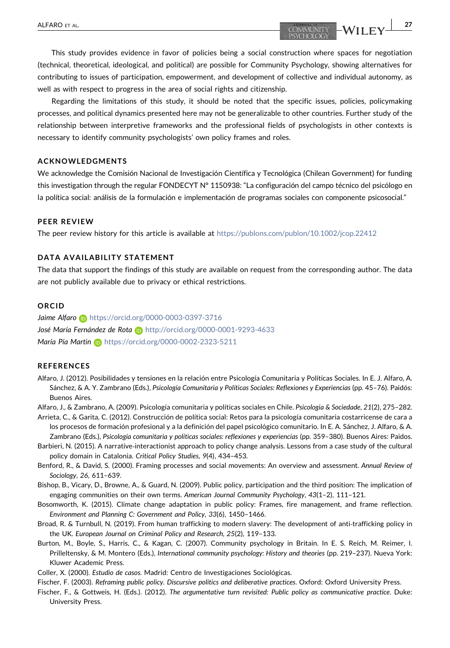<span id="page-17-0"></span>ALFARO ET AL. 27

This study provides evidence in favor of policies being a social construction where spaces for negotiation (technical, theoretical, ideological, and political) are possible for Community Psychology, showing alternatives for contributing to issues of participation, empowerment, and development of collective and individual autonomy, as well as with respect to progress in the area of social rights and citizenship.

Regarding the limitations of this study, it should be noted that the specific issues, policies, policymaking processes, and political dynamics presented here may not be generalizable to other countries. Further study of the relationship between interpretive frameworks and the professional fields of psychologists in other contexts is necessary to identify community psychologists' own policy frames and roles.

#### ACKNOWLEDGMENTS

We acknowledge the Comisión Nacional de Investigación Científica y Tecnológica (Chilean Government) for funding this investigation through the regular FONDECYT N° 1150938: "La configuración del campo técnico del psicólogo en la política social: análisis de la formulación e implementación de programas sociales con componente psicosocial."

#### PEER REVIEW

The peer review history for this article is available at <https://publons.com/publon/10.1002/jcop.22412>

#### DATA AVAILABILITY STATEMENT

The data that support the findings of this study are available on request from the corresponding author. The data are not publicly available due to privacy or ethical restrictions.

#### **ORCID**

Jaime Alfaro **b** <https://orcid.org/0000-0003-0397-3716> José María Fernández de Rota D<http://orcid.org/0000-0001-9293-4633> María Pía Martin n <https://orcid.org/0000-0002-2323-5211>

#### **REFERENCES**

- Alfaro, J. (2012). Posibilidades y tensiones en la relación entre Psicología Comunitaria y Políticas Sociales. In E. J. Alfaro, A. Sánchez, & A. Y. Zambrano (Eds.), Psicología Comunitaria y Políticas Sociales: Reflexiones y Experiencias (pp. 45–76). Paidós: Buenos Aires.
- Alfaro, J., & Zambrano, A. (2009). Psicología comunitaria y políticas sociales en Chile. Psicologia & Sociedade, 21(2), 275–282.
- Arrieta, C., & Garita, C. (2012). Construcción de política social: Retos para la psicología comunitaria costarricense de cara a los procesos de formación profesional y a la definición del papel psicológico comunitario. In E. A. Sánchez, J. Alfaro, & A. Zambrano (Eds.), Psicología comunitaria y políticas sociales: reflexiones y experiencias (pp. 359–380). Buenos Aires: Paidos.
- Barbieri, N. (2015). A narrative‐interactionist approach to policy change analysis. Lessons from a case study of the cultural policy domain in Catalonia. Critical Policy Studies, 9(4), 434–453.
- Benford, R., & David, S. (2000). Framing processes and social movements: An overview and assessment. Annual Review of Sociology, 26, 611–639.
- Bishop, B., Vicary, D., Browne, A., & Guard, N. (2009). Public policy, participation and the third position: The implication of engaging communities on their own terms. American Journal Community Psychology, 43(1–2), 111–121.
- Bosomworth, K. (2015). Climate change adaptation in public policy: Frames, fire management, and frame reflection. Environment and Planning C: Government and Policy, 33(6), 1450–1466.
- Broad, R. & Turnbull, N. (2019). From human trafficking to modern slavery: The development of anti‐trafficking policy in the UK. European Journal on Criminal Policy and Research, 25(2), 119–133.
- Burton, M., Boyle, S., Harris, C., & Kagan, C. (2007). Community psychology in Britain. In E. S. Reich, M. Reimer, I. Prilleltensky, & M. Montero (Eds.), International community psychology: History and theories (pp. 219–237). Nueva York: Kluwer Academic Press.
- Coller, X. (2000). Estudio de casos. Madrid: Centro de Investigaciones Sociológicas.

Fischer, F. (2003). Reframing public policy. Discursive politics and deliberative practices. Oxford: Oxford University Press.

Fischer, F., & Gottweis, H. (Eds.). (2012). The argumentative turn revisited: Public policy as communicative practice. Duke: University Press.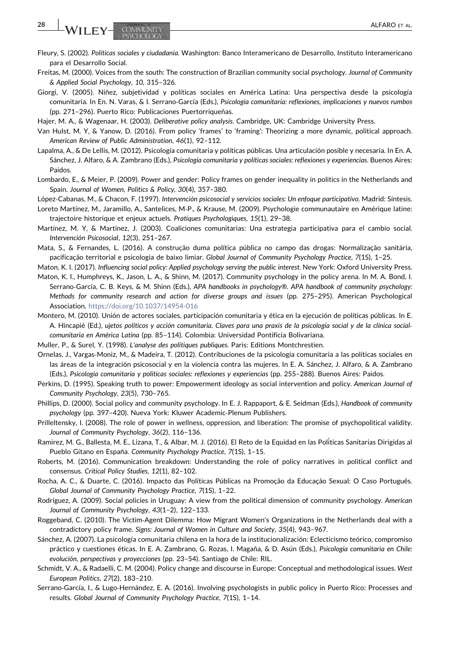- <span id="page-18-0"></span>Fleury, S. (2002). Políticas sociales y ciudadanía. Washington: Banco Interamericano de Desarrollo, Instituto Interamericano para el Desarrollo Social.
- Freitas, M. (2000). Voices from the south: The construction of Brazilian community social psychology. Journal of Community & Applied Social Psychology, 10, 315–326.
- Giorgi, V. (2005). Niñez, subjetividad y políticas sociales en América Latina: Una perspectiva desde la psicología comunitaria. In En. N. Varas, & I. Serrano‐García (Eds.), Psicología comunitaria: reflexiones, implicaciones y nuevos rumbos (pp. 271–296). Puerto Rico: Publicaciones Puertorriqueñas.
- Hajer, M. A., & Wagenaar, H. (2003). Deliberative policy analysis. Cambridge, UK: Cambridge University Press.
- Van Hulst, M. Y, & Yanow, D. (2016). From policy 'frames' to 'framing': Theorizing a more dynamic, political approach. American Review of Public Administration, 46(1), 92–112.
- Lapalma, A., & De Lellis, M. (2012). Psicología comunitaria y políticas públicas. Una articulación posible y necesaria. In En. A. Sánchez, J. Alfaro, & A. Zambrano (Eds.), Psicología comunitaria y políticas sociales: reflexiones y experiencias. Buenos Aires: Paidos.
- Lombardo, E., & Meier, P. (2009). Power and gender: Policy frames on gender inequality in politics in the Netherlands and Spain. Journal of Women, Politics & Policy, 30(4), 357–380.
- López‐Cabanas, M., & Chacon, F. (1997). Intervención psicosocial y servicios sociales: Un enfoque participativo. Madrid: Síntesis.
- Loreto Martínez, M., Jaramillo, A., Santelices, M‐P., & Krause, M. (2009). Psychologie communautaire en Amérique latine: trajectoire historique et enjeux actuels. Pratiques Psychologiques, 15(1), 29–38.
- Martínez, M. Y, & Martínez, J. (2003). Coaliciones comunitarias: Una estrategia participativa para el cambio social. Intervención Psicosocial, 12(3), 251–267.
- Mata, S., & Fernandes, L. (2016). A construção duma política pública no campo das drogas: Normalização sanitária, pacificação territorial e psicologia de baixo limiar. Global Journal of Community Psychology Practice, 7(1S), 1–25.
- Maton, K. I. (2017). Influencing social policy: Applied psychology serving the public interest. New York: Oxford University Press. Maton, K. I., Humphreys, K., Jason, L. A., & Shinn, M. (2017). Community psychology in the policy arena. In M. A. Bond, I.
- Serrano-García, C. B. Keys, & M. Shinn (Eds.), APA handbooks in psychology®. APA handbook of community psychology: Methods for community research and action for diverse groups and issues (pp. 275–295). American Psychological Association. <https://doi.org/10.1037/14954-016>
- Montero, M. (2010). Unión de actores sociales, participación comunitaria y ética en la ejecución de políticas públicas. In E. A. Hincapié (Ed.), ujetos políticos y acción comunitaria. Claves para una praxis de la psicología social y de la clínica social‐ comunitaria en América Latina (pp. 85–114). Colombia: Universidad Pontificia Bolivariana.
- Muller, P., & Surel, Y. (1998). L'analyse des politiques publiques. Paris: Editions Montchrestien.
- Ornelas, J., Vargas‐Moniz, M., & Madeira, T. (2012). Contribuciones de la psicología comunitaria a las políticas sociales en las áreas de la integración psicosocial y en la violencia contra las mujeres. In E. A. Sánchez, J. Alfaro, & A. Zambrano (Eds.), Psicología comunitaria y políticas sociales: reflexiones y experiencias (pp. 255–288). Buenos Aires: Paidos.
- Perkins, D. (1995). Speaking truth to power: Empowerment ideology as social intervention and policy. American Journal of Community Psychology, 23(5), 730–765.
- Phillips, D. (2000). Social policy and community psychology. In E. J. Rappaport, & E. Seidman (Eds.), Handbook of community psychology (pp. 397–420). Nueva York: Kluwer Academic‐Plenum Publishers.
- Prilleltensky, I. (2008). The role of power in wellness, oppression, and liberation: The promise of psychopolitical validity. Journal of Community Psychology, 36(2), 116–136.
- Ramirez, M. G., Ballesta, M. E., Lizana, T., & Albar, M. J. (2016). El Reto de la Equidad en las Polí ticas Sanitarias Dirigidas al Pueblo Gitano en España. Community Psychology Practice, 7(1S), 1-15.
- Roberts, M. (2016). Communication breakdown: Understanding the role of policy narratives in political conflict and consensus. Critical Policy Studies, 12(1), 82–102.
- Rocha, A. C., & Duarte, C. (2016). Impacto das Políticas Públicas na Promoção da Educação Sexual: O Caso Português. Global Journal of Community Psychology Practice, 7(1S), 1–22.
- Rodríguez, A. (2009). Social policies in Uruguay: A view from the political dimension of community psychology. American Journal of Community Psychology, 43(1–2), 122–133.
- Roggeband, C. (2010). The Victim‐Agent Dilemma: How Migrant Women's Organizations in the Netherlands deal with a contradictory policy frame. Signs: Journal of Women in Culture and Society, 35(4), 943–967.
- Sánchez, A. (2007). La psicología comunitaria chilena en la hora de la institucionalización: Eclecticismo teórico, compromiso práctico y cuestiones éticas. In E. A. Zambrano, G. Rozas, I. Magaña, & D. Asún (Eds.), Psicología comunitaria en Chile: evolución, perspectivas y proyecciones (pp. 23–54). Santiago de Chile: RIL.
- Schmidt, V. A., & Radaelli, C. M. (2004). Policy change and discourse in Europe: Conceptual and methodological issues. West European Politics, 27(2), 183–210.
- Serrano‐García, I., & Lugo‐Hernández, E. A. (2016). Involving psychologists in public policy in Puerto Rico: Processes and results. Global Journal of Community Psychology Practice, 7(1S), 1–14.